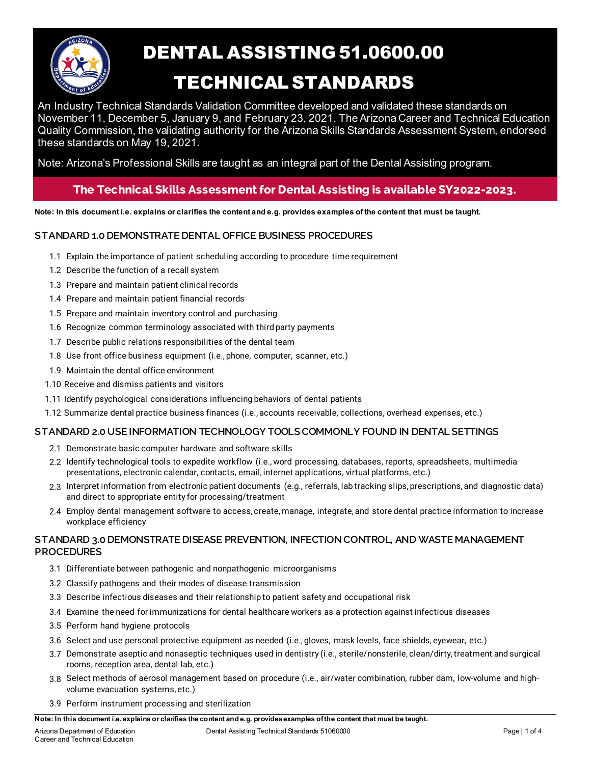

# DENTAL ASSISTING 51.0600.00

## TECHNICAL STANDARDS

An Industry Technical Standards Validation Committee developed and validated these standards on November 11, December 5, January 9, and February 23, 2021. The Arizona Career and Technical Education Quality Commission, the validating authority for the Arizona Skills Standards Assessment System, endorsed these standards on May 19, 2021.

Note: Arizona's Professional Skills are taught as an integral part of the Dental Assisting program.

### **The Technical Skills Assessment for Dental Assisting is available SY2022-2023.**

**Note: In this document i.e. explains or clarifies the content and e.g. provides examples of the content that must be taught.**

#### **STANDARD 1.0 DEMONSTRATE DENTAL OFFICE BUSINESS PROCEDURES**

- 1.1 Explain the importance of patient scheduling according to procedure time requirement
- 1.2 Describe the function of a recall system
- 1.3 Prepare and maintain patient clinical records
- 1.4 Prepare and maintain patient financial records
- 1.5 Prepare and maintain inventory control and purchasing
- 1.6 Recognize common terminology associated with third party payments
- 1.7 Describe public relations responsibilities of the dental team
- 1.8 Use front office business equipment (i.e., phone, computer, scanner, etc.)
- 1.9 Maintain the dental office environment
- 1.10 Receive and dismiss patients and visitors
- 1.11 Identify psychological considerations influencing behaviors of dental patients
- 1.12 Summarize dental practice business finances (i.e., accounts receivable, collections, overhead expenses, etc.)

#### **STANDARD 2.0 USE INFORMATION TECHNOLOGY TOOLS COMMONLY FOUND IN DENTAL SETTINGS**

- 2.1 Demonstrate basic computer hardware and software skills
- 2.2 Identify technological tools to expedite workflow (i.e., word processing, databases, reports, spreadsheets, multimedia presentations, electronic calendar, contacts, email, internet applications, virtual platforms, etc.)
- 2.3 Interpret information from electronic patient documents (e.g., referrals, lab tracking slips, prescriptions, and diagnostic data) and direct to appropriate entity for processing/treatment
- 2.4 Employ dental management software to access, create, manage, integrate, and store dental practice information to increase workplace efficiency

#### **STANDARD 3.0 DEMONSTRATE DISEASE PREVENTION, INFECTION CONTROL, AND WASTE MANAGEMENT PROCEDURES**

- 3.1 Differentiate between pathogenic and nonpathogenic microorganisms
- 3.2 Classify pathogens and their modes of disease transmission
- 3.3 Describe infectious diseases and their relationship to patient safety and occupational risk
- 3.4 Examine the need for immunizations for dental healthcare workers as a protection against infectious diseases
- 3.5 Perform hand hygiene protocols
- 3.6 Select and use personal protective equipment as needed (i.e., gloves, mask levels, face shields, eyewear, etc.)
- 3.7 Demonstrate aseptic and nonaseptic techniques used in dentistry (i.e., sterile/nonsterile, clean/dirty, treatment and surgical rooms, reception area, dental lab, etc.)
- 3.8 Select methods of aerosol management based on procedure (i.e., air/water combination, rubber dam, low-volume and highvolume evacuation systems, etc.)
- 3.9 Perform instrument processing and sterilization

**Note: In this document i.e. explains or clarifies the content and e.g. provides examples of the content that must be taught.**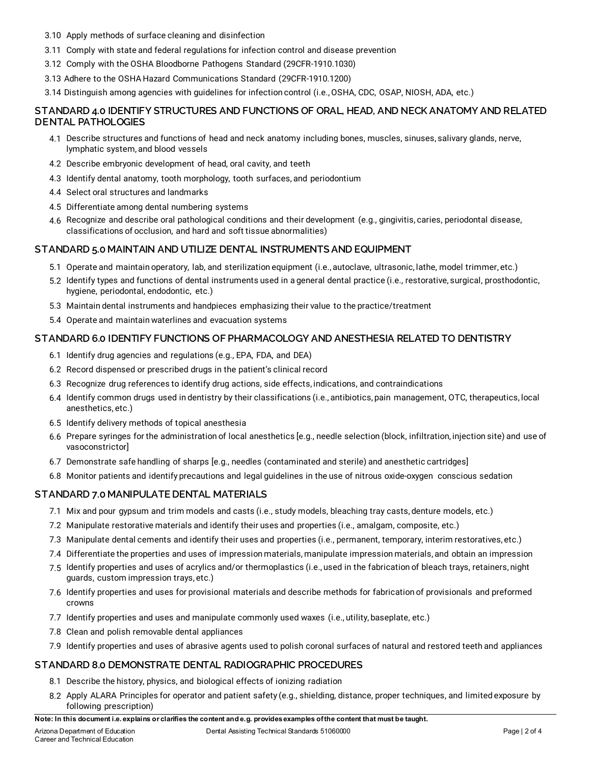- 3.10 Apply methods of surface cleaning and disinfection
- 3.11 Comply with state and federal regulations for infection control and disease prevention
- 3.12 Comply with the OSHA Bloodborne Pathogens Standard (29CFR-1910.1030)
- 3.13 Adhere to the OSHA Hazard Communications Standard (29CFR-1910.1200)

3.14 Distinguish among agencies with guidelines for infection control (i.e., OSHA, CDC, OSAP, NIOSH, ADA, etc.)

#### **STANDARD 4.0 IDENTIFY STRUCTURES AND FUNCTIONS OF ORAL, HEAD, AND NECK ANATOMY AND RELATED DENTAL PATHOLOGIES**

- 4.1 Describe structures and functions of head and neck anatomy including bones, muscles, sinuses, salivary glands, nerve, lymphatic system, and blood vessels
- 4.2 Describe embryonic development of head, oral cavity, and teeth
- 4.3 Identify dental anatomy, tooth morphology, tooth surfaces, and periodontium
- 4.4 Select oral structures and landmarks
- 4.5 Differentiate among dental numbering systems
- 4.6 Recognize and describe oral pathological conditions and their development (e.g., gingivitis, caries, periodontal disease, classifications of occlusion, and hard and soft tissue abnormalities)

#### **STANDARD 5.0 MAINTAIN AND UTILIZE DENTAL INSTRUMENTS AND EQUIPMENT**

- 5.1 Operate and maintain operatory, lab, and sterilization equipment (i.e., autoclave, ultrasonic, lathe, model trimmer, etc.)
- 5.2 Identify types and functions of dental instruments used in a general dental practice (i.e., restorative, surgical, prosthodontic, hygiene, periodontal, endodontic, etc.)
- 5.3 Maintain dental instruments and handpieces emphasizing their value to the practice/treatment
- 5.4 Operate and maintain waterlines and evacuation systems

#### **STANDARD 6.0 IDENTIFY FUNCTIONS OF PHARMACOLOGY AND ANESTHESIA RELATED TO DENTISTRY**

- 6.1 Identify drug agencies and regulations (e.g., EPA, FDA, and DEA)
- 6.2 Record dispensed or prescribed drugs in the patient's clinical record
- 6.3 Recognize drug references to identify drug actions, side effects, indications, and contraindications
- 6.4 Identify common drugs used in dentistry by their classifications (i.e., antibiotics, pain management, OTC, therapeutics, local anesthetics, etc.)
- 6.5 Identify delivery methods of topical anesthesia
- 6.6 Prepare syringes for the administration of local anesthetics [e.g., needle selection (block, infiltration, injection site) and use of vasoconstrictor]
- 6.7 Demonstrate safe handling of sharps [e.g., needles (contaminated and sterile) and anesthetic cartridges]
- 6.8 Monitor patients and identify precautions and legal guidelines in the use of nitrous oxide-oxygen conscious sedation

#### **STANDARD 7.0 MANIPULATE DENTAL MATERIALS**

- 7.1 Mix and pour gypsum and trim models and casts (i.e., study models, bleaching tray casts, denture models, etc.)
- 7.2 Manipulate restorative materials and identify their uses and properties (i.e., amalgam, composite, etc.)
- 7.3 Manipulate dental cements and identify their uses and properties (i.e., permanent, temporary, interim restoratives, etc.)
- 7.4 Differentiate the properties and uses of impression materials, manipulate impression materials, and obtain an impression
- 7.5 Identify properties and uses of acrylics and/or thermoplastics (i.e., used in the fabrication of bleach trays, retainers, night guards, custom impression trays, etc.)
- 7.6 Identify properties and uses for provisional materials and describe methods for fabrication of provisionals and preformed crowns
- 7.7 Identify properties and uses and manipulate commonly used waxes (i.e., utility, baseplate, etc.)
- 7.8 Clean and polish removable dental appliances
- 7.9 Identify properties and uses of abrasive agents used to polish coronal surfaces of natural and restored teeth and appliances

#### **STANDARD 8.0 DEMONSTRATE DENTAL RADIOGRAPHIC PROCEDURES**

- 8.1 Describe the history, physics, and biological effects of ionizing radiation
- 8.2 Apply ALARA Principles for operator and patient safety (e.g., shielding, distance, proper techniques, and limited exposure by following prescription)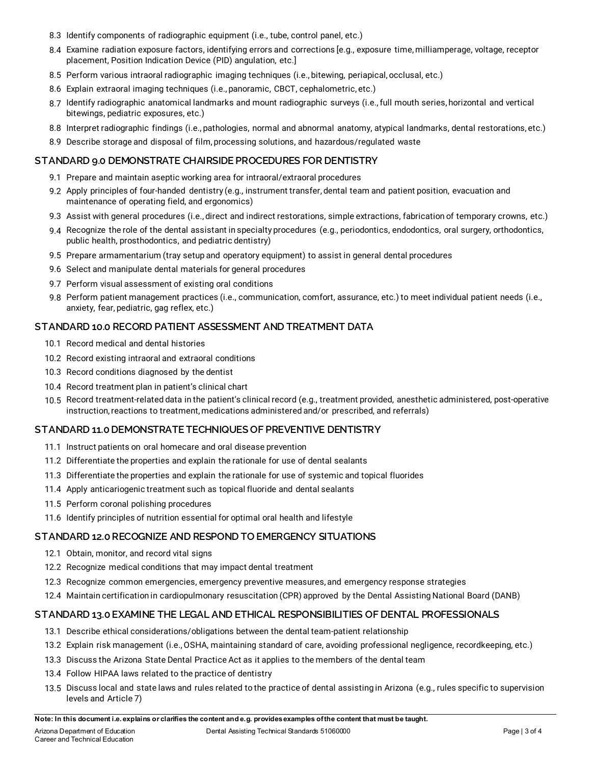- 8.3 Identify components of radiographic equipment (i.e., tube, control panel, etc.)
- 8.4 Examine radiation exposure factors, identifying errors and corrections [e.g., exposure time, milliamperage, voltage, receptor placement, Position Indication Device (PID) angulation, etc.]
- 8.5 Perform various intraoral radiographic imaging techniques (i.e., bitewing, periapical, occlusal, etc.)
- 8.6 Explain extraoral imaging techniques (i.e., panoramic, CBCT, cephalometric, etc.)
- 8.7 Identify radiographic anatomical landmarks and mount radiographic surveys (i.e., full mouth series, horizontal and vertical bitewings, pediatric exposures, etc.)
- 8.8 Interpret radiographic findings (i.e., pathologies, normal and abnormal anatomy, atypical landmarks, dental restorations, etc.)
- 8.9 Describe storage and disposal of film, processing solutions, and hazardous/regulated waste

#### **STANDARD 9.0 DEMONSTRATE CHAIRSIDE PROCEDURES FOR DENTISTRY**

- 9.1 Prepare and maintain aseptic working area for intraoral/extraoral procedures
- 9.2 Apply principles of four-handed dentistry (e.g., instrument transfer, dental team and patient position, evacuation and maintenance of operating field, and ergonomics)
- 9.3 Assist with general procedures (i.e., direct and indirect restorations, simple extractions, fabrication of temporary crowns, etc.)
- 9.4 Recognize the role of the dental assistant in specialty procedures (e.g., periodontics, endodontics, oral surgery, orthodontics, public health, prosthodontics, and pediatric dentistry)
- 9.5 Prepare armamentarium (tray setup and operatory equipment) to assist in general dental procedures
- 9.6 Select and manipulate dental materials for general procedures
- 9.7 Perform visual assessment of existing oral conditions
- 9.8 Perform patient management practices (i.e., communication, comfort, assurance, etc.) to meet individual patient needs (i.e., anxiety, fear, pediatric, gag reflex, etc.)

#### **STANDARD 10.0 RECORD PATIENT ASSESSMENT AND TREATMENT DATA**

- 10.1 Record medical and dental histories
- 10.2 Record existing intraoral and extraoral conditions
- 10.3 Record conditions diagnosed by the dentist
- 10.4 Record treatment plan in patient's clinical chart
- 10.5 Record treatment-related data in the patient's clinical record (e.g., treatment provided, anesthetic administered, post-operative instruction, reactions to treatment, medications administered and/or prescribed, and referrals)

#### **STANDARD 11.0 DEMONSTRATE TECHNIQUES OF PREVENTIVE DENTISTRY**

- 11.1 Instruct patients on oral homecare and oral disease prevention
- 11.2 Differentiate the properties and explain the rationale for use of dental sealants
- 11.3 Differentiate the properties and explain the rationale for use of systemic and topical fluorides
- 11.4 Apply anticariogenic treatment such as topical fluoride and dental sealants
- 11.5 Perform coronal polishing procedures
- 11.6 Identify principles of nutrition essential for optimal oral health and lifestyle

#### **STANDARD 12.0 RECOGNIZE AND RESPOND TO EMERGENCY SITUATIONS**

- 12.1 Obtain, monitor, and record vital signs
- 12.2 Recognize medical conditions that may impact dental treatment
- 12.3 Recognize common emergencies, emergency preventive measures, and emergency response strategies
- 12.4 Maintain certification in cardiopulmonary resuscitation (CPR) approved by the Dental Assisting National Board (DANB)

#### **STANDARD 13.0 EXAMINE THE LEGAL AND ETHICAL RESPONSIBILITIES OF DENTAL PROFESSIONALS**

- 13.1 Describe ethical considerations/obligations between the dental team-patient relationship
- 13.2 Explain risk management (i.e., OSHA, maintaining standard of care, avoiding professional negligence, recordkeeping, etc.)
- 13.3 Discuss the Arizona State Dental Practice Act as it applies to the members of the dental team
- 13.4 Follow HIPAA laws related to the practice of dentistry
- 13.5 Discuss local and state laws and rules related to the practice of dental assisting in Arizona (e.g., rules specific to supervision levels and Article 7)